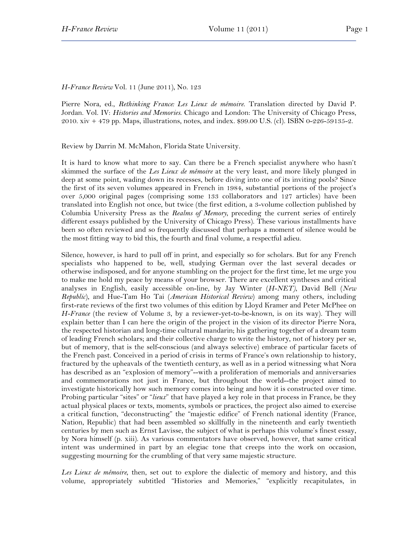*H-France Review* Vol. 11 (June 2011), No. 123

Pierre Nora, ed., *Rethinking France: Les Lieux de mémoire*. Translation directed by David P. Jordan. Vol. IV: *Histories and Memories*. Chicago and London: The University of Chicago Press, 2010. xiv + 479 pp. Maps, illustrations, notes, and index. \$99.00 U.S. (cl). ISBN 0-226-59135-2.

Review by Darrin M. McMahon, Florida State University.

It is hard to know what more to say. Can there be a French specialist anywhere who hasn't skimmed the surface of the *Les Lieux de mémoire* at the very least, and more likely plunged in deep at some point, wading down its recesses, before diving into one of its inviting pools? Since the first of its seven volumes appeared in French in 1984, substantial portions of the project's over 5,000 original pages (comprising some 133 collaborators and 127 articles) have been translated into English not once, but twice (the first edition, a 3-volume collection published by Columbia University Press as the *Realms of Memory*, preceding the current series of entirely different essays published by the University of Chicago Press). These various installments have been so often reviewed and so frequently discussed that perhaps a moment of silence would be the most fitting way to bid this, the fourth and final volume, a respectful adieu.

Silence, however, is hard to pull off in print, and especially so for scholars. But for any French specialists who happened to be, well, studying German over the last several decades or otherwise indisposed, and for anyone stumbling on the project for the first time, let me urge you to make me hold my peace by means of your browser. There are excellent syntheses and critical analyses in English, easily accessible on-line, by Jay Winter (*H-NET)*, David Bell (*New Republic*), and Hue-Tam Ho Tai (*American Historical Review*) among many others, including first-rate reviews of the first two volumes of this edition by Lloyd Kramer and Peter McPhee on *H-France* (the review of Volume 3, by a reviewer-yet-to-be-known, is on its way). They will explain better than I can here the origin of the project in the vision of its director Pierre Nora, the respected historian and long-time cultural mandarin; his gathering together of a dream team of leading French scholars; and their collective charge to write the history, not of history per se, but of memory, that is the self-conscious (and always selective) embrace of particular facets of the French past. Conceived in a period of crisis in terms of France's own relationship to history, fractured by the upheavals of the twentieth century, as well as in a period witnessing what Nora has described as an "explosion of memory"--with a proliferation of memorials and anniversaries and commemorations not just in France, but throughout the world--the project aimed to investigate historically how such memory comes into being and how it is constructed over time. Probing particular "sites" or "*lieux*" that have played a key role in that process in France, be they actual physical places or texts, moments, symbols or practices, the project also aimed to exercise a critical function, "deconstructing" the "majestic edifice" of French national identity (France, Nation, Republic) that had been assembled so skillfully in the nineteenth and early twentieth centuries by men such as Ernst Lavisse, the subject of what is perhaps this volume's finest essay, by Nora himself (p. xiii). As various commentators have observed, however, that same critical intent was undermined in part by an elegiac tone that creeps into the work on occasion, suggesting mourning for the crumbling of that very same majestic structure.

*Les Lieux de mémoire*, then, set out to explore the dialectic of memory and history, and this volume, appropriately subtitled "Histories and Memories," "explicitly recapitulates, in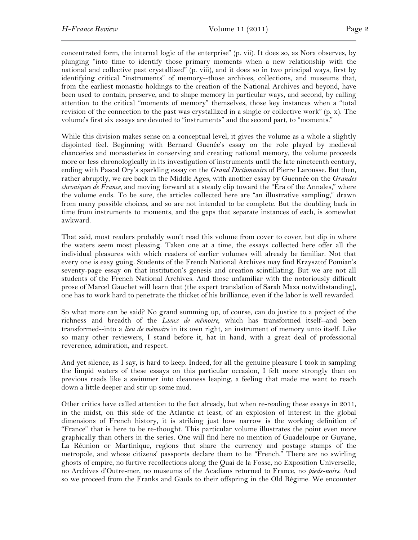concentrated form, the internal logic of the enterprise" (p. vii). It does so, as Nora observes, by plunging "into time to identify those primary moments when a new relationship with the national and collective past crystallized" (p. viii), and it does so in two principal ways, first by identifying critical "instruments" of memory--those archives, collections, and museums that, from the earliest monastic holdings to the creation of the National Archives and beyond, have been used to contain, preserve, and to shape memory in particular ways, and second, by calling attention to the critical "moments of memory" themselves, those key instances when a "total revision of the connection to the past was crystallized in a single or collective work" (p. x). The volume's first six essays are devoted to "instruments" and the second part, to "moments."

While this division makes sense on a conceptual level, it gives the volume as a whole a slightly disjointed feel. Beginning with Bernard Guenée's essay on the role played by medieval chanceries and monasteries in conserving and creating national memory, the volume proceeds more or less chronologically in its investigation of instruments until the late nineteenth century, ending with Pascal Ory's sparkling essay on the *Grand Dictionnaire* of Pierre Larousse. But then, rather abruptly, we are back in the Middle Ages, with another essay by Guennée on the *Grandes chroniques de France*, and moving forward at a steady clip toward the "Era of the Annales," where the volume ends. To be sure, the articles collected here are "an illustrative sampling," drawn from many possible choices, and so are not intended to be complete. But the doubling back in time from instruments to moments, and the gaps that separate instances of each, is somewhat awkward.

That said, most readers probably won't read this volume from cover to cover, but dip in where the waters seem most pleasing. Taken one at a time, the essays collected here offer all the individual pleasures with which readers of earlier volumes will already be familiar. Not that every one is easy going. Students of the French National Archives may find Krzysztof Pomian's seventy-page essay on that institution's genesis and creation scintillating. But we are not all students of the French National Archives. And those unfamiliar with the notoriously difficult prose of Marcel Gauchet will learn that (the expert translation of Sarah Maza notwithstanding), one has to work hard to penetrate the thicket of his brilliance, even if the labor is well rewarded.

So what more can be said? No grand summing up, of course, can do justice to a project of the richness and breadth of the *Lieux de mémoire*, which has transformed itself--and been transformed--into a *lieu de mèmoire* in its own right, an instrument of memory unto itself. Like so many other reviewers, I stand before it, hat in hand, with a great deal of professional reverence, admiration, and respect.

And yet silence, as I say, is hard to keep. Indeed, for all the genuine pleasure I took in sampling the limpid waters of these essays on this particular occasion, I felt more strongly than on previous reads like a swimmer into cleanness leaping, a feeling that made me want to reach down a little deeper and stir up some mud.

Other critics have called attention to the fact already, but when re-reading these essays in 2011, in the midst, on this side of the Atlantic at least, of an explosion of interest in the global dimensions of French history, it is striking just how narrow is the working definition of "France" that is here to be re-thought. This particular volume illustrates the point even more graphically than others in the series. One will find here no mention of Guadeloupe or Guyane, La Réunion or Martinique, regions that share the currency and postage stamps of the metropole, and whose citizens' passports declare them to be "French." There are no swirling ghosts of empire, no furtive recollections along the Quai de la Fosse, no Exposition Universelle, no Archives d'Outre-mer, no museums of the Acadians returned to France, no *pieds-noirs*. And so we proceed from the Franks and Gauls to their offspring in the Old Régime. We encounter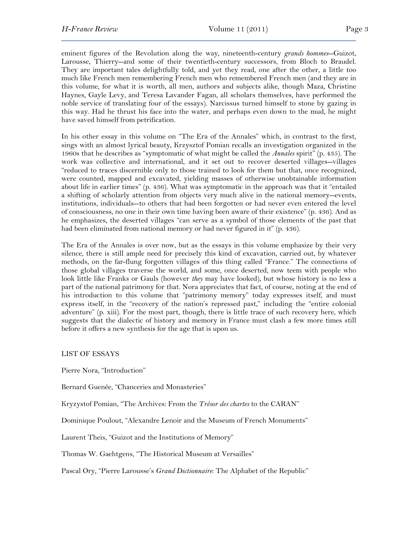eminent figures of the Revolution along the way, nineteenth-century *grands hommes*--Guizot, Larousse, Thierry--and some of their twentieth-century successors, from Bloch to Braudel. They are important tales delightfully told, and yet they read, one after the other, a little too much like French men remembering French men who remembered French men (and they are in this volume, for what it is worth, all men, authors and subjects alike, though Maza, Christine Haynes, Gayle Levy, and Teresa Lavander Fagan, all scholars themselves, have performed the noble service of translating four of the essays). Narcissus turned himself to stone by gazing in this way. Had he thrust his face into the water, and perhaps even down to the mud, he might have saved himself from petrification.

In his other essay in this volume on "The Era of the Annales" which, in contrast to the first, sings with an almost lyrical beauty, Krzysztof Pomian recalls an investigation organized in the 1960s that he describes as "symptomatic of what might be called the *Annales* spirit" (p. 435). The work was collective and international, and it set out to recover deserted villages--villages "reduced to traces discernible only to those trained to look for them but that, once recognized, were counted, mapped and excavated, yielding masses of otherwise unobtainable information about life in earlier times" (p. 436). What was symptomatic in the approach was that it "entailed a shifting of scholarly attention from objects very much alive in the national memory--events, institutions, individuals--to others that had been forgotten or had never even entered the level of consciousness, no one in their own time having been aware of their existence" (p. 436). And as he emphasizes, the deserted villages "can serve as a symbol of those elements of the past that had been eliminated from national memory or had never figured in it" (p. 436).

The Era of the Annales is over now, but as the essays in this volume emphasize by their very silence, there is still ample need for precisely this kind of excavation, carried out, by whatever methods, on the far-flung forgotten villages of this thing called "France." The connections of those global villages traverse the world, and some, once deserted, now teem with people who look little like Franks or Gauls (however *they* may have looked), but whose history is no less a part of the national patrimony for that. Nora appreciates that fact, of course, noting at the end of his introduction to this volume that "patrimony memory" today expresses itself, and must express itself, in the "recovery of the nation's repressed past," including the "entire colonial adventure" (p. xiii). For the most part, though, there is little trace of such recovery here, which suggests that the dialectic of history and memory in France must clash a few more times still before it offers a new synthesis for the age that is upon us.

LIST OF ESSAYS

Pierre Nora, "Introduction"

Bernard Guenée, "Chanceries and Monasteries"

Kryzystof Pomian, "The Archives: From the *Trésor des chartes* to the CARAN"

Dominique Poulout, "Alexandre Lenoir and the Museum of French Monuments"

Laurent Theis, "Guizot and the Institutions of Memory"

Thomas W. Gaehtgens, "The Historical Museum at Versailles"

Pascal Ory, "Pierre Larousse's *Grand Dictionnaire*: The Alphabet of the Republic"